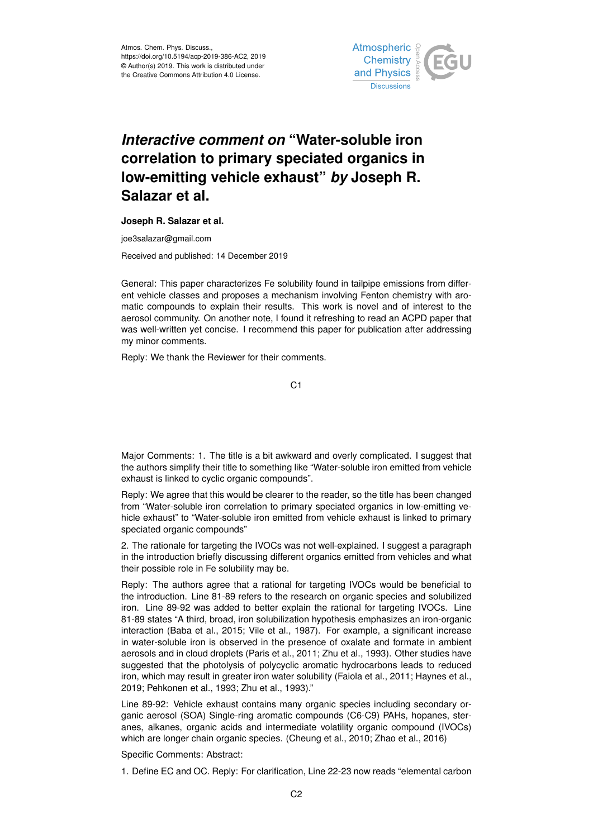

# *Interactive comment on* **"Water-soluble iron correlation to primary speciated organics in low-emitting vehicle exhaust"** *by* **Joseph R. Salazar et al.**

## **Joseph R. Salazar et al.**

joe3salazar@gmail.com

Received and published: 14 December 2019

General: This paper characterizes Fe solubility found in tailpipe emissions from different vehicle classes and proposes a mechanism involving Fenton chemistry with aromatic compounds to explain their results. This work is novel and of interest to the aerosol community. On another note, I found it refreshing to read an ACPD paper that was well-written yet concise. I recommend this paper for publication after addressing my minor comments.

Reply: We thank the Reviewer for their comments.

C1

Major Comments: 1. The title is a bit awkward and overly complicated. I suggest that the authors simplify their title to something like "Water-soluble iron emitted from vehicle exhaust is linked to cyclic organic compounds".

Reply: We agree that this would be clearer to the reader, so the title has been changed from "Water-soluble iron correlation to primary speciated organics in low-emitting vehicle exhaust" to "Water-soluble iron emitted from vehicle exhaust is linked to primary speciated organic compounds"

2. The rationale for targeting the IVOCs was not well-explained. I suggest a paragraph in the introduction briefly discussing different organics emitted from vehicles and what their possible role in Fe solubility may be.

Reply: The authors agree that a rational for targeting IVOCs would be beneficial to the introduction. Line 81-89 refers to the research on organic species and solubilized iron. Line 89-92 was added to better explain the rational for targeting IVOCs. Line 81-89 states "A third, broad, iron solubilization hypothesis emphasizes an iron-organic interaction (Baba et al., 2015; Vile et al., 1987). For example, a significant increase in water-soluble iron is observed in the presence of oxalate and formate in ambient aerosols and in cloud droplets (Paris et al., 2011; Zhu et al., 1993). Other studies have suggested that the photolysis of polycyclic aromatic hydrocarbons leads to reduced iron, which may result in greater iron water solubility (Faiola et al., 2011; Haynes et al., 2019; Pehkonen et al., 1993; Zhu et al., 1993)."

Line 89-92: Vehicle exhaust contains many organic species including secondary organic aerosol (SOA) Single-ring aromatic compounds (C6-C9) PAHs, hopanes, steranes, alkanes, organic acids and intermediate volatility organic compound (IVOCs) which are longer chain organic species. (Cheung et al., 2010; Zhao et al., 2016)

Specific Comments: Abstract:

1. Define EC and OC. Reply: For clarification, Line 22-23 now reads "elemental carbon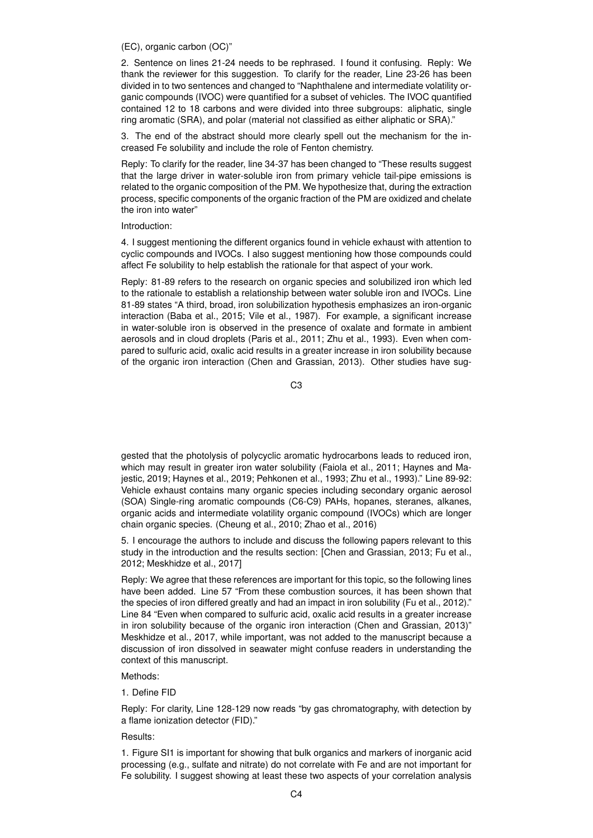(EC), organic carbon (OC)"

2. Sentence on lines 21-24 needs to be rephrased. I found it confusing. Reply: We thank the reviewer for this suggestion. To clarify for the reader, Line 23-26 has been divided in to two sentences and changed to "Naphthalene and intermediate volatility organic compounds (IVOC) were quantified for a subset of vehicles. The IVOC quantified contained 12 to 18 carbons and were divided into three subgroups: aliphatic, single ring aromatic (SRA), and polar (material not classified as either aliphatic or SRA)."

3. The end of the abstract should more clearly spell out the mechanism for the increased Fe solubility and include the role of Fenton chemistry.

Reply: To clarify for the reader, line 34-37 has been changed to "These results suggest that the large driver in water-soluble iron from primary vehicle tail-pipe emissions is related to the organic composition of the PM. We hypothesize that, during the extraction process, specific components of the organic fraction of the PM are oxidized and chelate the iron into water"

#### Introduction:

4. I suggest mentioning the different organics found in vehicle exhaust with attention to cyclic compounds and IVOCs. I also suggest mentioning how those compounds could affect Fe solubility to help establish the rationale for that aspect of your work.

Reply: 81-89 refers to the research on organic species and solubilized iron which led to the rationale to establish a relationship between water soluble iron and IVOCs. Line 81-89 states "A third, broad, iron solubilization hypothesis emphasizes an iron-organic interaction (Baba et al., 2015; Vile et al., 1987). For example, a significant increase in water-soluble iron is observed in the presence of oxalate and formate in ambient aerosols and in cloud droplets (Paris et al., 2011; Zhu et al., 1993). Even when compared to sulfuric acid, oxalic acid results in a greater increase in iron solubility because of the organic iron interaction (Chen and Grassian, 2013). Other studies have sug-

C3

gested that the photolysis of polycyclic aromatic hydrocarbons leads to reduced iron, which may result in greater iron water solubility (Faiola et al., 2011; Haynes and Majestic, 2019; Haynes et al., 2019; Pehkonen et al., 1993; Zhu et al., 1993)." Line 89-92: Vehicle exhaust contains many organic species including secondary organic aerosol (SOA) Single-ring aromatic compounds (C6-C9) PAHs, hopanes, steranes, alkanes, organic acids and intermediate volatility organic compound (IVOCs) which are longer chain organic species. (Cheung et al., 2010; Zhao et al., 2016)

5. I encourage the authors to include and discuss the following papers relevant to this study in the introduction and the results section: [Chen and Grassian, 2013; Fu et al., 2012; Meskhidze et al., 2017]

Reply: We agree that these references are important for this topic, so the following lines have been added. Line 57 "From these combustion sources, it has been shown that the species of iron differed greatly and had an impact in iron solubility (Fu et al., 2012)." Line 84 "Even when compared to sulfuric acid, oxalic acid results in a greater increase in iron solubility because of the organic iron interaction (Chen and Grassian, 2013)" Meskhidze et al., 2017, while important, was not added to the manuscript because a discussion of iron dissolved in seawater might confuse readers in understanding the context of this manuscript.

#### Methods:

# 1. Define FID

Reply: For clarity, Line 128-129 now reads "by gas chromatography, with detection by a flame ionization detector (FID)."

## Results:

1. Figure SI1 is important for showing that bulk organics and markers of inorganic acid processing (e.g., sulfate and nitrate) do not correlate with Fe and are not important for Fe solubility. I suggest showing at least these two aspects of your correlation analysis